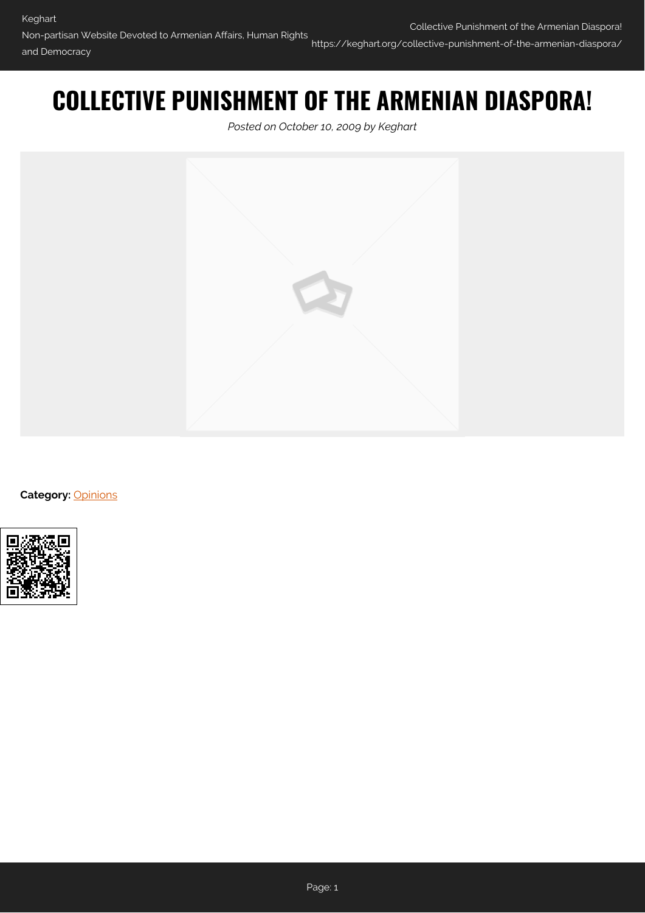## **COLLECTIVE PUNISHMENT OF THE ARMENIAN DIASPORA!**

*Posted on October 10, 2009 by Keghart*



**Category: [Opinions](https://keghart.org/category/opinions/)** 

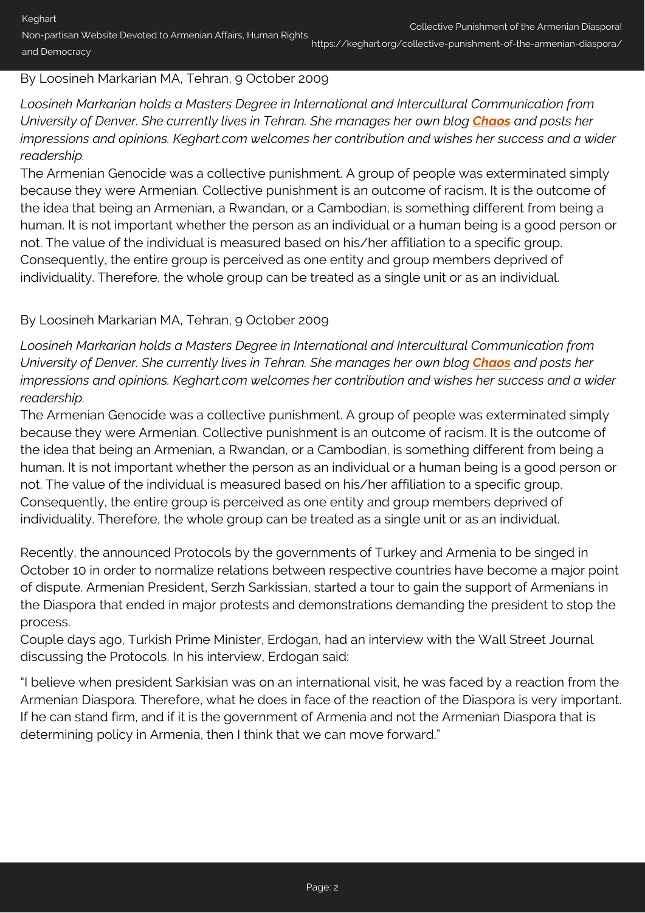Non-partisan Website Devoted to Armenian Affairs, Human Rights and Democracy https://keghart.org/collective-punishment-of-the-armenian-diaspora/

## By Loosineh Markarian MA, Tehran, 9 October 2009

*Loosineh Markarian holds a Masters Degree in International and Intercultural Communication from University of Denver. She currently lives in Tehran. She manages her own blog [Chaos](http://loosineh.blogspot.com/search?updated-min=2009-01-01T00%3A00%3A00-08%3A00&updated-max=2010-01-01T00%3A00%3A00-08%3A00&max-results=13) and posts her impressions and opinions. Keghart.com welcomes her contribution and wishes her success and a wider readership.*

The Armenian Genocide was a collective punishment. A group of people was exterminated simply because they were Armenian. Collective punishment is an outcome of racism. It is the outcome of the idea that being an Armenian, a Rwandan, or a Cambodian, is something different from being a human. It is not important whether the person as an individual or a human being is a good person or not. The value of the individual is measured based on his/her affiliation to a specific group. Consequently, the entire group is perceived as one entity and group members deprived of individuality. Therefore, the whole group can be treated as a single unit or as an individual.

## By Loosineh Markarian MA, Tehran, 9 October 2009

*Loosineh Markarian holds a Masters Degree in International and Intercultural Communication from University of Denver. She currently lives in Tehran. She manages her own blog [Chaos](http://loosineh.blogspot.com/search?updated-min=2009-01-01T00%3A00%3A00-08%3A00&updated-max=2010-01-01T00%3A00%3A00-08%3A00&max-results=13) and posts her impressions and opinions. Keghart.com welcomes her contribution and wishes her success and a wider readership.*

The Armenian Genocide was a collective punishment. A group of people was exterminated simply because they were Armenian. Collective punishment is an outcome of racism. It is the outcome of the idea that being an Armenian, a Rwandan, or a Cambodian, is something different from being a human. It is not important whether the person as an individual or a human being is a good person or not. The value of the individual is measured based on his/her affiliation to a specific group. Consequently, the entire group is perceived as one entity and group members deprived of individuality. Therefore, the whole group can be treated as a single unit or as an individual.

Recently, the announced Protocols by the governments of Turkey and Armenia to be singed in October 10 in order to normalize relations between respective countries have become a major point of dispute. Armenian President, Serzh Sarkissian, started a tour to gain the support of Armenians in the Diaspora that ended in major protests and demonstrations demanding the president to stop the process.

Couple days ago, Turkish Prime Minister, Erdogan, had an interview with the Wall Street Journal discussing the Protocols. In his interview, Erdogan said:

"I believe when president Sarkisian was on an international visit, he was faced by a reaction from the Armenian Diaspora. Therefore, what he does in face of the reaction of the Diaspora is very important. If he can stand firm, and if it is the government of Armenia and not the Armenian Diaspora that is determining policy in Armenia, then I think that we can move forward."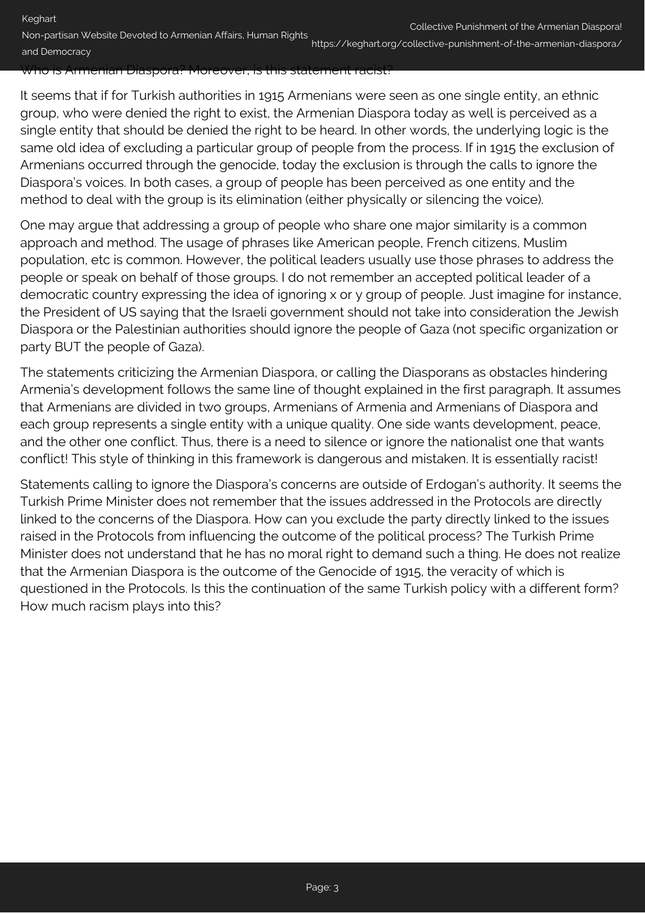## Who is Armenian Diaspora? Moreover, is this statement racist?

It seems that if for Turkish authorities in 1915 Armenians were seen as one single entity, an ethnic group, who were denied the right to exist, the Armenian Diaspora today as well is perceived as a single entity that should be denied the right to be heard. In other words, the underlying logic is the same old idea of excluding a particular group of people from the process. If in 1915 the exclusion of Armenians occurred through the genocide, today the exclusion is through the calls to ignore the Diaspora's voices. In both cases, a group of people has been perceived as one entity and the method to deal with the group is its elimination (either physically or silencing the voice).

One may argue that addressing a group of people who share one major similarity is a common approach and method. The usage of phrases like American people, French citizens, Muslim population, etc is common. However, the political leaders usually use those phrases to address the people or speak on behalf of those groups. I do not remember an accepted political leader of a democratic country expressing the idea of ignoring x or y group of people. Just imagine for instance, the President of US saying that the Israeli government should not take into consideration the Jewish Diaspora or the Palestinian authorities should ignore the people of Gaza (not specific organization or party BUT the people of Gaza).

The statements criticizing the Armenian Diaspora, or calling the Diasporans as obstacles hindering Armenia's development follows the same line of thought explained in the first paragraph. It assumes that Armenians are divided in two groups, Armenians of Armenia and Armenians of Diaspora and each group represents a single entity with a unique quality. One side wants development, peace, and the other one conflict. Thus, there is a need to silence or ignore the nationalist one that wants conflict! This style of thinking in this framework is dangerous and mistaken. It is essentially racist!

Statements calling to ignore the Diaspora's concerns are outside of Erdogan's authority. It seems the Turkish Prime Minister does not remember that the issues addressed in the Protocols are directly linked to the concerns of the Diaspora. How can you exclude the party directly linked to the issues raised in the Protocols from influencing the outcome of the political process? The Turkish Prime Minister does not understand that he has no moral right to demand such a thing. He does not realize that the Armenian Diaspora is the outcome of the Genocide of 1915, the veracity of which is questioned in the Protocols. Is this the continuation of the same Turkish policy with a different form? How much racism plays into this?